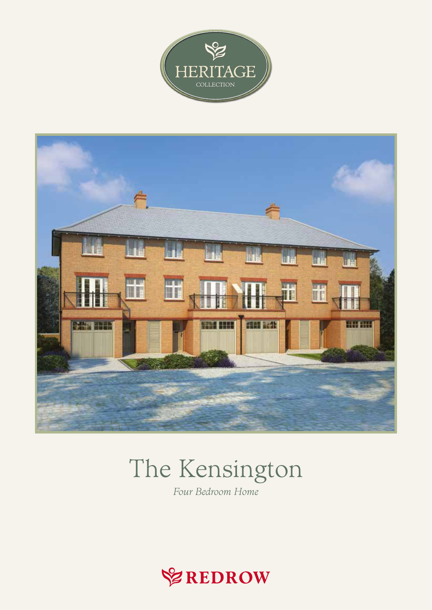



# The Kensington

Four Bedroom Home